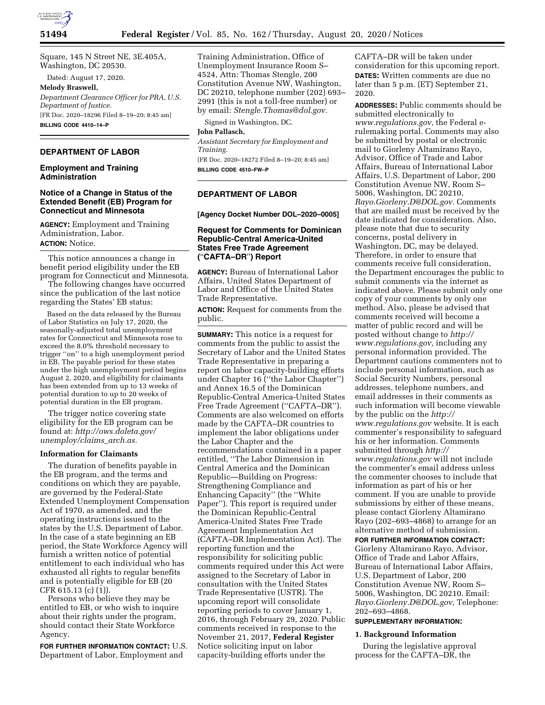

Square, 145 N Street NE, 3E.405A, Washington, DC 20530.

Dated: August 17, 2020.

## **Melody Braswell,**

*Department Clearance Officer for PRA, U.S. Department of Justice.*  [FR Doc. 2020–18296 Filed 8–19–20; 8:45 am] **BILLING CODE 4410–14–P** 

# **DEPARTMENT OF LABOR**

## **Employment and Training Administration**

## **Notice of a Change in Status of the Extended Benefit (EB) Program for Connecticut and Minnesota**

**AGENCY:** Employment and Training Administration, Labor. **ACTION:** Notice.

This notice announces a change in benefit period eligibility under the EB program for Connecticut and Minnesota.

The following changes have occurred since the publication of the last notice regarding the States' EB status:

Based on the data released by the Bureau of Labor Statistics on July 17, 2020, the seasonally-adjusted total unemployment rates for Connecticut and Minnesota rose to exceed the 8.0% threshold necessary to trigger ''on'' to a high unemployment period in EB. The payable period for these states under the high unemployment period begins August 2, 2020, and eligibility for claimants has been extended from up to 13 weeks of potential duration to up to 20 weeks of potential duration in the EB program.

The trigger notice covering state eligibility for the EB program can be found at: *[http://ows.doleta.gov/](http://ows.doleta.gov/unemploy/claims_arch.as) [unemploy/claims](http://ows.doleta.gov/unemploy/claims_arch.as)*\_*arch.as.* 

#### **Information for Claimants**

The duration of benefits payable in the EB program, and the terms and conditions on which they are payable, are governed by the Federal-State Extended Unemployment Compensation Act of 1970, as amended, and the operating instructions issued to the states by the U.S. Department of Labor. In the case of a state beginning an EB period, the State Workforce Agency will furnish a written notice of potential entitlement to each individual who has exhausted all rights to regular benefits and is potentially eligible for EB (20 CFR 615.13 (c) (1)).

Persons who believe they may be entitled to EB, or who wish to inquire about their rights under the program, should contact their State Workforce Agency.

**FOR FURTHER INFORMATION CONTACT:** U.S. Department of Labor, Employment and

Training Administration, Office of Unemployment Insurance Room S– 4524, Attn: Thomas Stengle, 200 Constitution Avenue NW, Washington, DC 20210, telephone number (202) 693– 2991 (this is not a toll-free number) or by email: *[Stengle.Thomas@dol.gov.](mailto:Stengle.Thomas@dol.gov)* 

Signed in Washington, DC.

## **John Pallasch,**

*Assistant Secretary for Employment and Training.*  [FR Doc. 2020–18272 Filed 8–19–20; 8:45 am] **BILLING CODE 4510–FW–P** 

## **DEPARTMENT OF LABOR**

## **[Agency Docket Number DOL–2020–0005]**

## **Request for Comments for Dominican Republic-Central America-United States Free Trade Agreement (**''**CAFTA–DR**''**) Report**

**AGENCY:** Bureau of International Labor Affairs, United States Department of Labor and Office of the United States Trade Representative.

**ACTION:** Request for comments from the public.

**SUMMARY:** This notice is a request for comments from the public to assist the Secretary of Labor and the United States Trade Representative in preparing a report on labor capacity-building efforts under Chapter 16 (''the Labor Chapter'') and Annex 16.5 of the Dominican Republic-Central America-United States Free Trade Agreement (''CAFTA–DR''). Comments are also welcomed on efforts made by the CAFTA–DR countries to implement the labor obligations under the Labor Chapter and the recommendations contained in a paper entitled, ''The Labor Dimension in Central America and the Dominican Republic—Building on Progress: Strengthening Compliance and Enhancing Capacity'' (the ''White Paper''). This report is required under the Dominican Republic-Central America-United States Free Trade Agreement Implementation Act (CAFTA–DR Implementation Act). The reporting function and the responsibility for soliciting public comments required under this Act were assigned to the Secretary of Labor in consultation with the United States Trade Representative (USTR). The upcoming report will consolidate reporting periods to cover January 1, 2016, through February 29, 2020. Public comments received in response to the November 21, 2017, **Federal Register**  Notice soliciting input on labor capacity-building efforts under the

CAFTA–DR will be taken under consideration for this upcoming report. **DATES:** Written comments are due no later than 5 p.m. (ET) September 21, 2020.

**ADDRESSES:** Public comments should be submitted electronically to *[www.regulations.gov,](http://www.regulations.gov)* the Federal erulemaking portal. Comments may also be submitted by postal or electronic mail to Giorleny Altamirano Rayo, Advisor, Office of Trade and Labor Affairs, Bureau of International Labor Affairs, U.S. Department of Labor, 200 Constitution Avenue NW, Room S– 5006, Washington, DC 20210, *[Rayo.Giorleny.D@DOL.gov.](mailto:Rayo.Giorleny.D@DOL.gov)* Comments that are mailed must be received by the date indicated for consideration. Also, please note that due to security concerns, postal delivery in Washington, DC, may be delayed. Therefore, in order to ensure that comments receive full consideration, the Department encourages the public to submit comments via the internet as indicated above. Please submit only one copy of your comments by only one method. Also, please be advised that comments received will become a matter of public record and will be posted without change to *[http://](http://www.regulations.gov) [www.regulations.gov,](http://www.regulations.gov)* including any personal information provided. The Department cautions commenters not to include personal information, such as Social Security Numbers, personal addresses, telephone numbers, and email addresses in their comments as such information will become viewable by the public on the *[http://](http://www.regulations.gov) [www.regulations.gov](http://www.regulations.gov)* website. It is each commenter's responsibility to safeguard his or her information. Comments submitted through *[http://](http://www.regulations.gov) [www.regulations.gov](http://www.regulations.gov)* will not include the commenter's email address unless the commenter chooses to include that information as part of his or her comment. If you are unable to provide submissions by either of these means, please contact Giorleny Altamirano Rayo (202–693–4868) to arrange for an alternative method of submission.

**FOR FURTHER INFORMATION CONTACT:**  Giorleny Altamirano Rayo, Advisor, Office of Trade and Labor Affairs, Bureau of International Labor Affairs, U.S. Department of Labor, 200 Constitution Avenue NW, Room S– 5006, Washington, DC 20210. Email: *[Rayo.Giorleny.D@DOL.gov,](mailto:Rayo.Giorleny.D@DOL.gov)* Telephone: 202–693–4868.

#### **SUPPLEMENTARY INFORMATION:**

## **1. Background Information**

During the legislative approval process for the CAFTA–DR, the